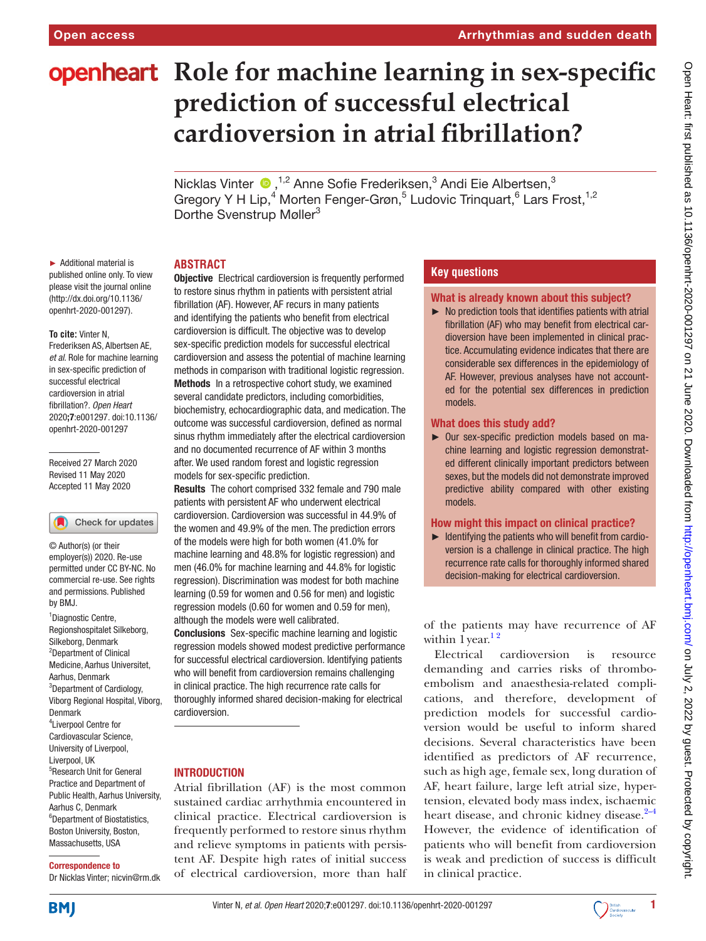# **openheart** Role for machine learning in sex-specific **prediction of successful electrical cardioversion in atrial fibrillation?**

NicklasVinter <sup>1,2</sup> Anne Sofie Frederiksen,<sup>3</sup> Andi Eie Albertsen,<sup>3</sup> Gregory Y H Lip,<sup>4</sup> Morten Fenger-Grøn,<sup>5</sup> Ludovic Trinquart,<sup>6</sup> Lars Frost,<sup>1,2</sup> Dorthe Svenstrup Møller<sup>3</sup>

# **Abstract**

► Additional material is published online only. To view please visit the journal online [\(http://dx.doi.org/10.1136/](http://dx.doi.org/10.1136/openhrt-2020-001297) [openhrt-2020-001297](http://dx.doi.org/10.1136/openhrt-2020-001297)).

#### **To cite:** Vinter N,

Frederiksen AS, Albertsen AE*, et al*. Role for machine learning in sex-specific prediction of successful electrical cardioversion in atrial fibrillation?*. Open Heart* 2020;7:e001297. doi:10.1136/ openhrt-2020-001297

Received 27 March 2020 Revised 11 May 2020 Accepted 11 May 2020

#### Check for updates

© Author(s) (or their employer(s)) 2020. Re-use permitted under CC BY-NC. No commercial re-use. See rights and permissions. Published by BMJ.

<sup>1</sup>Diagnostic Centre, Regionshospitalet Silkeborg, Silkeborg, Denmark <sup>2</sup>Department of Clinical Medicine, Aarhus Universitet, Aarhus, Denmark <sup>3</sup>Department of Cardiology, Viborg Regional Hospital, Viborg, Denmark 4 Liverpool Centre for Cardiovascular Science, University of Liverpool, Liverpool, UK 5 Research Unit for General Practice and Department of Public Health, Aarhus University, Aarhus C, Denmark 6 Department of Biostatistics, Boston University, Boston, Massachusetts, USA

Correspondence to

Dr Nicklas Vinter; nicvin@rm.dk

Objective Electrical cardioversion is frequently performed to restore sinus rhythm in patients with persistent atrial fibrillation (AF). However, AF recurs in many patients and identifying the patients who benefit from electrical cardioversion is difficult. The objective was to develop sex-specific prediction models for successful electrical cardioversion and assess the potential of machine learning methods in comparison with traditional logistic regression. Methods In a retrospective cohort study, we examined several candidate predictors, including comorbidities, biochemistry, echocardiographic data, and medication. The outcome was successful cardioversion, defined as normal sinus rhythm immediately after the electrical cardioversion and no documented recurrence of AF within 3 months after. We used random forest and logistic regression models for sex-specific prediction.

Results The cohort comprised 332 female and 790 male patients with persistent AF who underwent electrical cardioversion. Cardioversion was successful in 44.9% of the women and 49.9% of the men. The prediction errors of the models were high for both women (41.0% for machine learning and 48.8% for logistic regression) and men (46.0% for machine learning and 44.8% for logistic regression). Discrimination was modest for both machine learning (0.59 for women and 0.56 for men) and logistic regression models (0.60 for women and 0.59 for men), although the models were well calibrated.

Conclusions Sex-specific machine learning and logistic regression models showed modest predictive performance for successful electrical cardioversion. Identifying patients who will benefit from cardioversion remains challenging in clinical practice. The high recurrence rate calls for thoroughly informed shared decision-making for electrical cardioversion.

# **INTRODUCTION**

Atrial fibrillation (AF) is the most common sustained cardiac arrhythmia encountered in clinical practice. Electrical cardioversion is frequently performed to restore sinus rhythm and relieve symptoms in patients with persistent AF. Despite high rates of initial success of electrical cardioversion, more than half

# **Key questions**

#### What is already known about this subject?

 $\triangleright$  No prediction tools that identifies patients with atrial fibrillation (AF) who may benefit from electrical cardioversion have been implemented in clinical practice. Accumulating evidence indicates that there are considerable sex differences in the epidemiology of AF. However, previous analyses have not accounted for the potential sex differences in prediction models.

#### What does this study add?

► Our sex-specific prediction models based on machine learning and logistic regression demonstrated different clinically important predictors between sexes, but the models did not demonstrate improved predictive ability compared with other existing models.

# How might this impact on clinical practice?

► Identifying the patients who will benefit from cardioversion is a challenge in clinical practice. The high recurrence rate calls for thoroughly informed shared decision-making for electrical cardioversion.

of the patients may have recurrence of AF within  $1$  year.<sup>12</sup>

Electrical cardioversion is resource demanding and carries risks of thromboembolism and anaesthesia-related complications, and therefore, development of prediction models for successful cardioversion would be useful to inform shared decisions. Several characteristics have been identified as predictors of AF recurrence, such as high age, female sex, long duration of AF, heart failure, large left atrial size, hypertension, elevated body mass index, ischaemic heart disease, and chronic kidney disease.<sup>2-4</sup> However, the evidence of identification of patients who will benefit from cardioversion is weak and prediction of success is difficult in clinical practice.

**BMJ** 

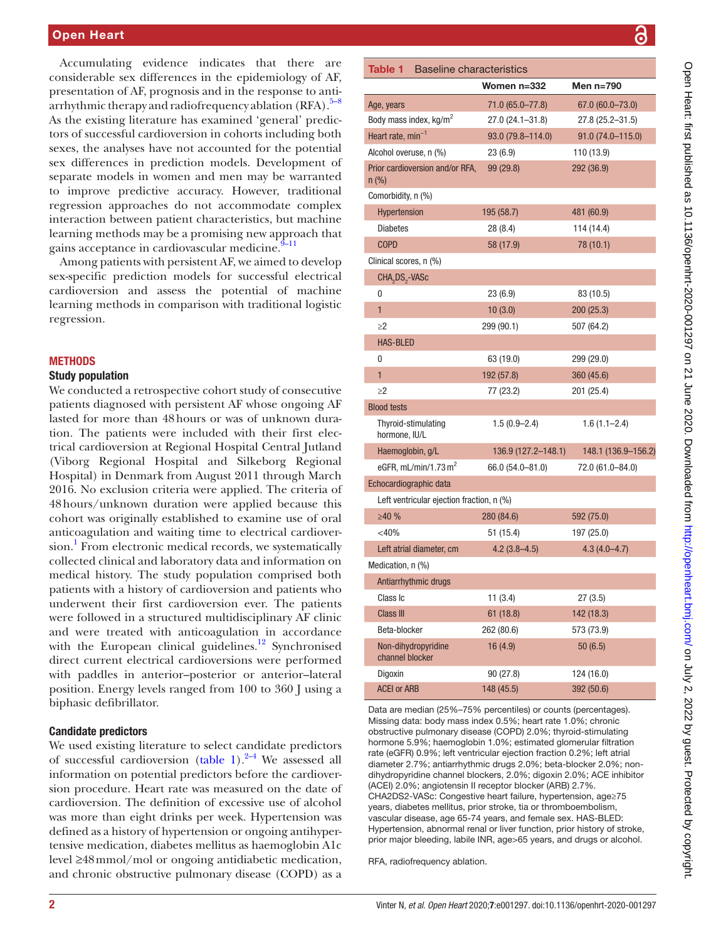Accumulating evidence indicates that there are considerable sex differences in the epidemiology of AF, presentation of AF, prognosis and in the response to antiarrhythmic therapy and radiofrequency ablation  $(RFA)$ .<sup>5–8</sup> As the existing literature has examined 'general' predictors of successful cardioversion in cohorts including both sexes, the analyses have not accounted for the potential sex differences in prediction models. Development of separate models in women and men may be warranted to improve predictive accuracy. However, traditional regression approaches do not accommodate complex interaction between patient characteristics, but machine learning methods may be a promising new approach that gains acceptance in cardiovascular medicine.<sup>9-11</sup>

Among patients with persistent AF, we aimed to develop sex-specific prediction models for successful electrical cardioversion and assess the potential of machine learning methods in comparison with traditional logistic regression.

#### **METHODS**

#### Study population

We conducted a retrospective cohort study of consecutive patients diagnosed with persistent AF whose ongoing AF lasted for more than 48hours or was of unknown duration. The patients were included with their first electrical cardioversion at Regional Hospital Central Jutland (Viborg Regional Hospital and Silkeborg Regional Hospital) in Denmark from August 2011 through March 2016. No exclusion criteria were applied. The criteria of 48hours/unknown duration were applied because this cohort was originally established to examine use of oral anticoagulation and waiting time to electrical cardioversion.<sup>1</sup> From electronic medical records, we systematically collected clinical and laboratory data and information on medical history. The study population comprised both patients with a history of cardioversion and patients who underwent their first cardioversion ever. The patients were followed in a structured multidisciplinary AF clinic and were treated with anticoagulation in accordance with the European clinical guidelines.<sup>12</sup> Synchronised direct current electrical cardioversions were performed with paddles in anterior–posterior or anterior–lateral position. Energy levels ranged from 100 to 360 J using a biphasic defibrillator.

#### Candidate predictors

We used existing literature to select candidate predictors of successful cardioversion ([table](#page-1-0) 1). $2-4$  We assessed all information on potential predictors before the cardioversion procedure. Heart rate was measured on the date of cardioversion. The definition of excessive use of alcohol was more than eight drinks per week. Hypertension was defined as a history of hypertension or ongoing antihypertensive medication, diabetes mellitus as haemoglobin A1c level ≥48mmol/mol or ongoing antidiabetic medication, and chronic obstructive pulmonary disease (COPD) as a

<span id="page-1-0"></span>

| <b>Baseline characteristics</b><br>Table 1                    |                     |                      |  |  |
|---------------------------------------------------------------|---------------------|----------------------|--|--|
|                                                               | Women n=332         | Men n=790            |  |  |
| Age, years                                                    | 71.0 (65.0-77.8)    | 67.0 (60.0-73.0)     |  |  |
| Body mass index, kg/m <sup>2</sup>                            | 27.0 (24.1-31.8)    | 27.8 (25.2-31.5)     |  |  |
| Heart rate, min <sup>-1</sup>                                 | 93.0 (79.8-114.0)   | $91.0(74.0 - 115.0)$ |  |  |
| Alcohol overuse, n (%)                                        | 23 (6.9)            | 110 (13.9)           |  |  |
| Prior cardioversion and/or RFA,<br>n (%)                      | 99 (29.8)           | 292 (36.9)           |  |  |
| Comorbidity, n (%)                                            |                     |                      |  |  |
| <b>Hypertension</b>                                           | 195 (58.7)          | 481 (60.9)           |  |  |
| <b>Diabetes</b>                                               | 28 (8.4)            | 114 (14.4)           |  |  |
| <b>COPD</b>                                                   | 58 (17.9)           | 78 (10.1)            |  |  |
| Clinical scores, n (%)                                        |                     |                      |  |  |
| CHA <sub>2</sub> DS <sub>2</sub> -VASc                        |                     |                      |  |  |
| 0                                                             | 23 (6.9)            | 83 (10.5)            |  |  |
| $\mathbf{1}$                                                  | 10(3.0)             | 200(25.3)            |  |  |
| $\geq$ 2                                                      | 299 (90.1)          | 507 (64.2)           |  |  |
| <b>HAS-BLED</b>                                               |                     |                      |  |  |
| 0                                                             | 63 (19.0)           | 299 (29.0)           |  |  |
| $\mathbf{1}$                                                  | 192 (57.8)          | 360 (45.6)           |  |  |
| ≥2                                                            | 77 (23.2)           | 201 (25.4)           |  |  |
| <b>Blood tests</b>                                            |                     |                      |  |  |
| Thyroid-stimulating<br>hormone, IU/L                          | $1.5(0.9 - 2.4)$    | $1.6(1.1 - 2.4)$     |  |  |
| Haemoglobin, g/L                                              | 136.9 (127.2-148.1) | 148.1 (136.9-156.2)  |  |  |
| eGFR, mL/min/1.73 m <sup>2</sup>                              | 66.0 (54.0-81.0)    | 72.0 (61.0-84.0)     |  |  |
| Echocardiographic data                                        |                     |                      |  |  |
| Left ventricular ejection fraction, n (%)                     |                     |                      |  |  |
| ≥40%                                                          | 280 (84.6)          | 592 (75.0)           |  |  |
| $<$ 40%                                                       | 51 (15.4)           | 197 (25.0)           |  |  |
| Left atrial diameter, cm                                      | $4.2(3.8-4.5)$      | $4.3(4.0 - 4.7)$     |  |  |
| Medication, n (%)                                             |                     |                      |  |  |
| Antiarrhythmic drugs                                          |                     |                      |  |  |
| Class Ic                                                      | 11(3.4)             | 27(3.5)              |  |  |
| <b>Class III</b>                                              | 61(18.8)            | 142 (18.3)           |  |  |
| Beta-blocker                                                  | 262 (80.6)          | 573 (73.9)           |  |  |
| Non-dihydropyridine<br>channel blocker                        | 16(4.9)             | 50(6.5)              |  |  |
| Digoxin                                                       | 90 (27.8)           | 124 (16.0)           |  |  |
| <b>ACEI or ARB</b>                                            | 148 (45.5)          | 392 (50.6)           |  |  |
| Data are median (25%-75% percentiles) or counts (percentages) |                     |                      |  |  |

I

ı

Data are median (25%–75% percentiles) or counts (per Missing data: body mass index 0.5%; heart rate 1.0%; chronic obstructive pulmonary disease (COPD) 2.0%; thyroid-stimulating hormone 5.9%; haemoglobin 1.0%; estimated glomerular filtration rate (eGFR) 0.9%; left ventricular ejection fraction 0.2%; left atrial diameter 2.7%; antiarrhythmic drugs 2.0%; beta-blocker 2.0%; nondihydropyridine channel blockers, 2.0%; digoxin 2.0%; ACE inhibitor (ACEI) 2.0%; angiotensin II receptor blocker (ARB) 2.7%. CHA2DS2-VASc: Congestive heart failure, hypertension, age≥75 years, diabetes mellitus, prior stroke, tia or thromboembolism, vascular disease, age 65-74 years, and female sex. HAS-BLED: Hypertension, abnormal renal or liver function, prior history of stroke, prior major bleeding, labile INR, age>65 years, and drugs or alcohol.

RFA, radiofrequency ablation.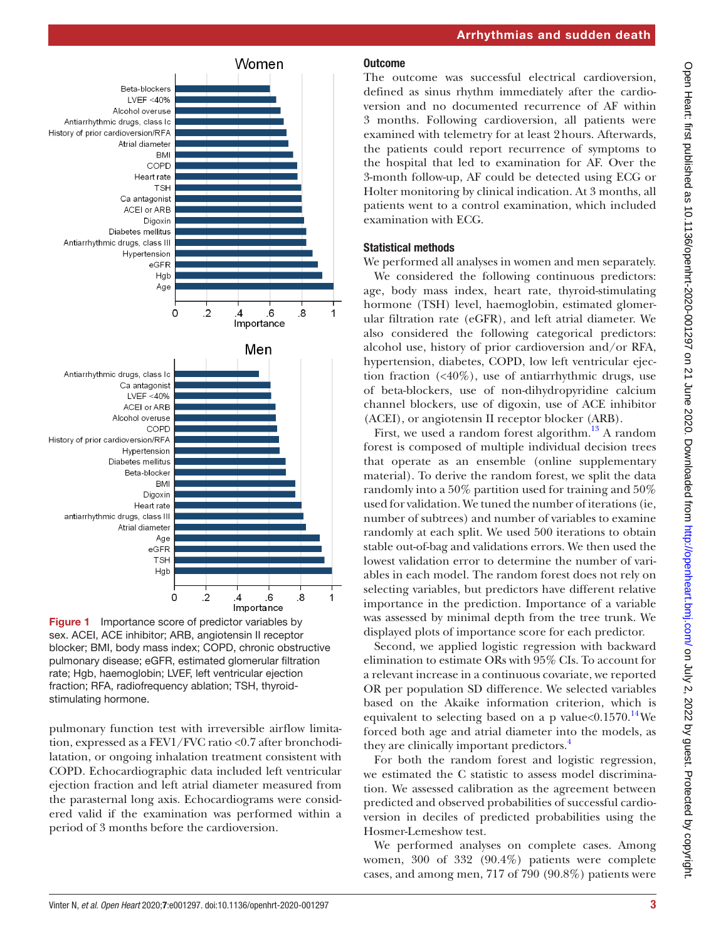

<span id="page-2-0"></span>

pulmonary function test with irreversible airflow limitation, expressed as a FEV1/FVC ratio <0.7 after bronchodilatation, or ongoing inhalation treatment consistent with COPD. Echocardiographic data included left ventricular ejection fraction and left atrial diameter measured from the parasternal long axis. Echocardiograms were considered valid if the examination was performed within a period of 3 months before the cardioversion.

# **Outcome**

The outcome was successful electrical cardioversion, defined as sinus rhythm immediately after the cardioversion and no documented recurrence of AF within 3 months. Following cardioversion, all patients were examined with telemetry for at least 2hours. Afterwards, the patients could report recurrence of symptoms to the hospital that led to examination for AF. Over the 3-month follow-up, AF could be detected using ECG or Holter monitoring by clinical indication. At 3 months, all patients went to a control examination, which included examination with ECG.

# Statistical methods

We performed all analyses in women and men separately.

We considered the following continuous predictors: age, body mass index, heart rate, thyroid-stimulating hormone (TSH) level, haemoglobin, estimated glomerular filtration rate (eGFR), and left atrial diameter. We also considered the following categorical predictors: alcohol use, history of prior cardioversion and/or RFA, hypertension, diabetes, COPD, low left ventricular ejection fraction  $\left( \langle 40\% \rangle \right)$ , use of antiarrhythmic drugs, use of beta-blockers, use of non-dihydropyridine calcium channel blockers, use of digoxin, use of ACE inhibitor (ACEI), or angiotensin II receptor blocker (ARB).

First, we used a random forest algorithm.<sup>13</sup> A random forest is composed of multiple individual decision trees that operate as an ensemble [\(online supplementary](https://dx.doi.org/10.1136/openhrt-2020-001297)  [material\)](https://dx.doi.org/10.1136/openhrt-2020-001297). To derive the random forest, we split the data randomly into a 50% partition used for training and 50% used for validation. We tuned the number of iterations (ie, number of subtrees) and number of variables to examine randomly at each split. We used 500 iterations to obtain stable out-of-bag and validations errors. We then used the lowest validation error to determine the number of variables in each model. The random forest does not rely on selecting variables, but predictors have different relative importance in the prediction. Importance of a variable was assessed by minimal depth from the tree trunk. We displayed plots of importance score for each predictor.

Second, we applied logistic regression with backward elimination to estimate ORs with 95% CIs. To account for a relevant increase in a continuous covariate, we reported OR per population SD difference. We selected variables based on the Akaike information criterion, which is equivalent to selecting based on a p value $< 0.1570$ .<sup>14</sup>We forced both age and atrial diameter into the models, as they are clinically important predictors.<sup>[4](#page-5-3)</sup>

For both the random forest and logistic regression, we estimated the C statistic to assess model discrimination. We assessed calibration as the agreement between predicted and observed probabilities of successful cardioversion in deciles of predicted probabilities using the Hosmer-Lemeshow test.

We performed analyses on complete cases. Among women, 300 of 332 (90.4%) patients were complete cases, and among men, 717 of 790 (90.8%) patients were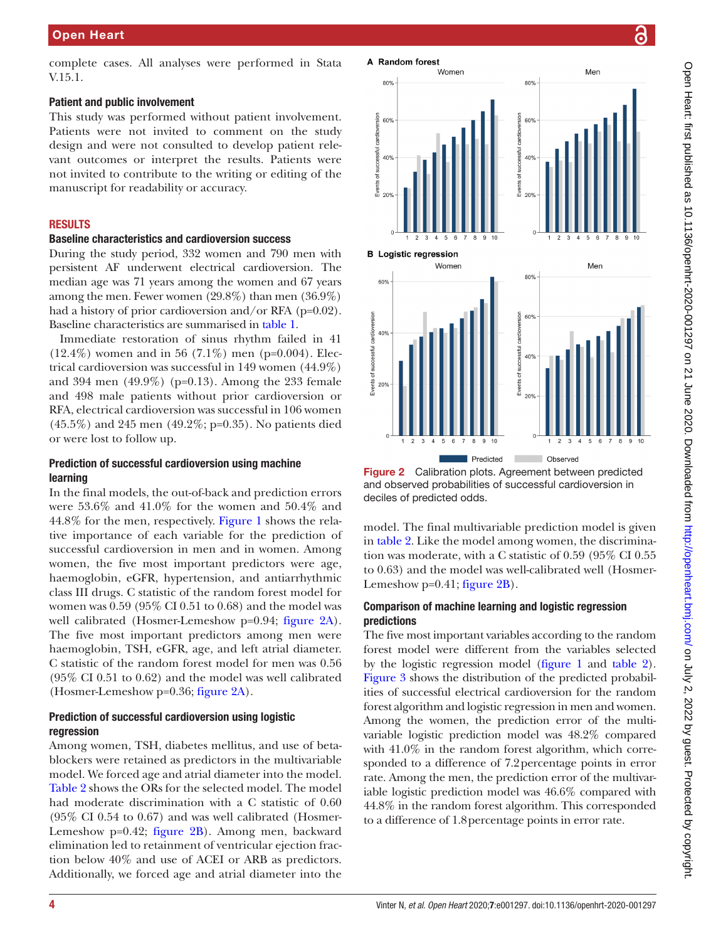complete cases. All analyses were performed in Stata V.15.1.

#### Patient and public involvement

This study was performed without patient involvement. Patients were not invited to comment on the study design and were not consulted to develop patient relevant outcomes or interpret the results. Patients were not invited to contribute to the writing or editing of the manuscript for readability or accuracy.

#### **RESULTS**

#### Baseline characteristics and cardioversion success

During the study period, 332 women and 790 men with persistent AF underwent electrical cardioversion. The median age was 71 years among the women and 67 years among the men. Fewer women (29.8%) than men (36.9%) had a history of prior cardioversion and/or RFA (p=0.02). Baseline characteristics are summarised in [table](#page-1-0) 1.

Immediate restoration of sinus rhythm failed in 41 (12.4%) women and in 56 (7.1%) men (p=0.004). Electrical cardioversion was successful in 149 women (44.9%) and 394 men (49.9%) (p=0.13). Among the 233 female and 498 male patients without prior cardioversion or RFA, electrical cardioversion was successful in 106 women (45.5%) and 245 men (49.2%; p=0.35). No patients died or were lost to follow up.

# Prediction of successful cardioversion using machine learning

In the final models, the out-of-back and prediction errors were 53.6% and 41.0% for the women and 50.4% and 44.8% for the men, respectively. [Figure](#page-2-0) 1 shows the relative importance of each variable for the prediction of successful cardioversion in men and in women. Among women, the five most important predictors were age, haemoglobin, eGFR, hypertension, and antiarrhythmic class III drugs. C statistic of the random forest model for women was 0.59 (95% CI 0.51 to 0.68) and the model was well calibrated (Hosmer-Lemeshow p=0.94; [figure](#page-3-0) 2A). The five most important predictors among men were haemoglobin, TSH, eGFR, age, and left atrial diameter. C statistic of the random forest model for men was 0.56 (95% CI 0.51 to 0.62) and the model was well calibrated (Hosmer-Lemeshow p=0.36; [figure](#page-3-0) 2A).

# Prediction of successful cardioversion using logistic regression

Among women, TSH, diabetes mellitus, and use of betablockers were retained as predictors in the multivariable model. We forced age and atrial diameter into the model. [Table](#page-4-0) 2 shows the ORs for the selected model. The model had moderate discrimination with a C statistic of 0.60 (95% CI 0.54 to 0.67) and was well calibrated (Hosmer-Lemeshow p=0.42; [figure](#page-3-0) 2B). Among men, backward elimination led to retainment of ventricular ejection fraction below 40% and use of ACEI or ARB as predictors. Additionally, we forced age and atrial diameter into the



<span id="page-3-0"></span>Figure 2 Calibration plots. Agreement between predicted and observed probabilities of successful cardioversion in deciles of predicted odds.

model. The final multivariable prediction model is given in [table](#page-4-0) 2. Like the model among women, the discrimination was moderate, with a C statistic of 0.59 (95% CI 0.55 to 0.63) and the model was well-calibrated well (Hosmer-Lemeshow  $p=0.41$ ; [figure](#page-3-0)  $2B$ ).

# Comparison of machine learning and logistic regression predictions

The five most important variables according to the random forest model were different from the variables selected by the logistic regression model ([figure](#page-2-0) 1 and [table](#page-4-0) 2). [Figure](#page-4-1) 3 shows the distribution of the predicted probabilities of successful electrical cardioversion for the random forest algorithm and logistic regression in men and women. Among the women, the prediction error of the multivariable logistic prediction model was 48.2% compared with  $41.0\%$  in the random forest algorithm, which corresponded to a difference of 7.2percentage points in error rate. Among the men, the prediction error of the multivariable logistic prediction model was 46.6% compared with 44.8% in the random forest algorithm. This corresponded to a difference of 1.8percentage points in error rate.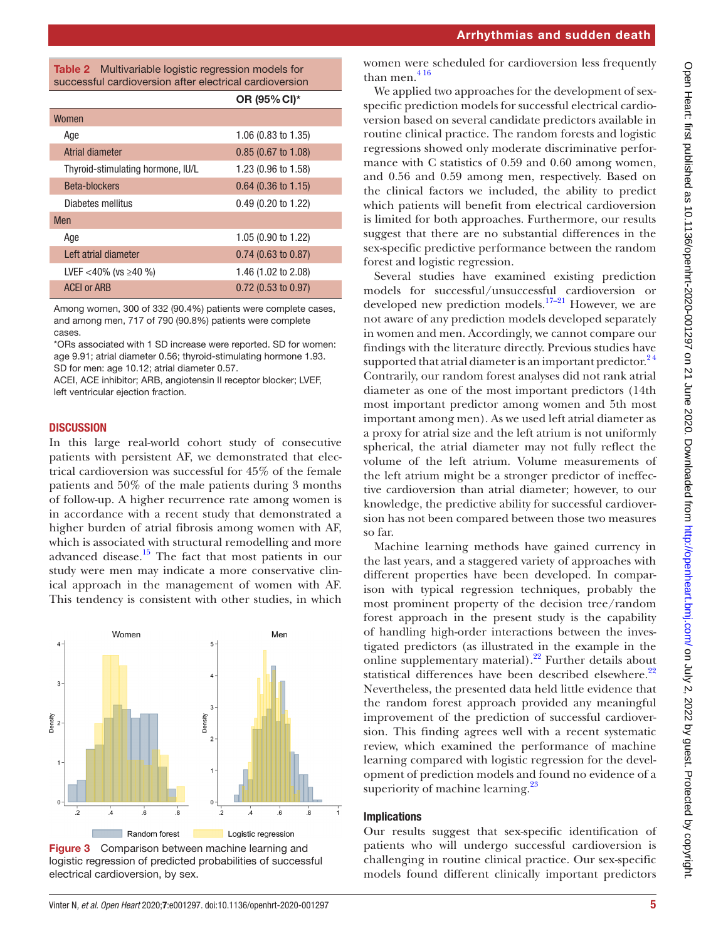<span id="page-4-0"></span>

| <b>Table 2</b> Multivariable logistic regression models for |  |
|-------------------------------------------------------------|--|
| successful cardioversion after electrical cardioversion     |  |
|                                                             |  |

|                                   | OR (95% CI)*                  |
|-----------------------------------|-------------------------------|
| Women                             |                               |
| Age                               | 1.06 (0.83 to 1.35)           |
| Atrial diameter                   | $0.85(0.67 \text{ to } 1.08)$ |
| Thyroid-stimulating hormone, IU/L | 1.23 (0.96 to 1.58)           |
| Beta-blockers                     | $0.64$ (0.36 to 1.15)         |
| Diabetes mellitus                 | $0.49(0.20 \text{ to } 1.22)$ |
| <b>Men</b>                        |                               |
| Age                               | 1.05 (0.90 to 1.22)           |
| Left atrial diameter              | $0.74$ (0.63 to 0.87)         |
| LVEF <40% (vs $\geq$ 40 %)        | 1.46 (1.02 to 2.08)           |
| <b>ACEI or ARB</b>                | $0.72$ (0.53 to 0.97)         |
|                                   |                               |

Among women, 300 of 332 (90.4%) patients were complete cases, and among men, 717 of 790 (90.8%) patients were complete cases.

\*ORs associated with 1 SD increase were reported. SD for women: age 9.91; atrial diameter 0.56; thyroid-stimulating hormone 1.93. SD for men: age 10.12; atrial diameter 0.57.

ACEI, ACE inhibitor; ARB, angiotensin II receptor blocker; LVEF, left ventricular ejection fraction.

#### **DISCUSSION**

In this large real-world cohort study of consecutive patients with persistent AF, we demonstrated that electrical cardioversion was successful for 45% of the female patients and 50% of the male patients during 3 months of follow-up. A higher recurrence rate among women is in accordance with a recent study that demonstrated a higher burden of atrial fibrosis among women with AF, which is associated with structural remodelling and more advanced disease.<sup>15</sup> The fact that most patients in our study were men may indicate a more conservative clinical approach in the management of women with AF. This tendency is consistent with other studies, in which



<span id="page-4-1"></span>logistic regression of predicted probabilities of successful electrical cardioversion, by sex.

women were scheduled for cardioversion less frequently than men.<sup>416</sup>

We applied two approaches for the development of sexspecific prediction models for successful electrical cardioversion based on several candidate predictors available in routine clinical practice. The random forests and logistic regressions showed only moderate discriminative performance with C statistics of 0.59 and 0.60 among women, and 0.56 and 0.59 among men, respectively. Based on the clinical factors we included, the ability to predict which patients will benefit from electrical cardioversion is limited for both approaches. Furthermore, our results suggest that there are no substantial differences in the sex-specific predictive performance between the random forest and logistic regression.

Several studies have examined existing prediction models for successful/unsuccessful cardioversion or developed new prediction models.<sup>17-21</sup> However, we are not aware of any prediction models developed separately in women and men. Accordingly, we cannot compare our findings with the literature directly. Previous studies have supported that atrial diameter is an important predictor.  $24$ Contrarily, our random forest analyses did not rank atrial diameter as one of the most important predictors (14th most important predictor among women and 5th most important among men). As we used left atrial diameter as a proxy for atrial size and the left atrium is not uniformly spherical, the atrial diameter may not fully reflect the volume of the left atrium. Volume measurements of the left atrium might be a stronger predictor of ineffective cardioversion than atrial diameter; however, to our knowledge, the predictive ability for successful cardioversion has not been compared between those two measures so far.

Machine learning methods have gained currency in the last years, and a staggered variety of approaches with different properties have been developed. In comparison with typical regression techniques, probably the most prominent property of the decision tree/random forest approach in the present study is the capability of handling high-order interactions between the investigated predictors (as illustrated in the example in the [online supplementary material\)](https://dx.doi.org/10.1136/openhrt-2020-001297).<sup>22</sup> Further details about statistical differences have been described elsewhere.<sup>[22](#page-6-6)</sup> Nevertheless, the presented data held little evidence that the random forest approach provided any meaningful improvement of the prediction of successful cardioversion. This finding agrees well with a recent systematic review, which examined the performance of machine learning compared with logistic regression for the development of prediction models and found no evidence of a superiority of machine learning.<sup>23</sup>

#### Implications

Our results suggest that sex-specific identification of patients who will undergo successful cardioversion is challenging in routine clinical practice. Our sex-specific models found different clinically important predictors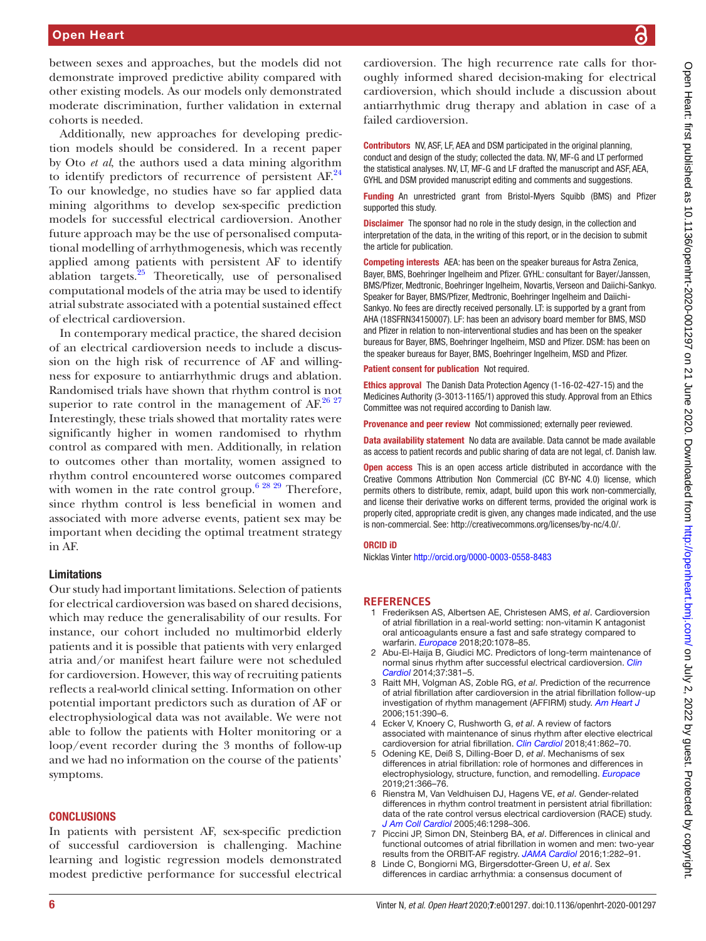between sexes and approaches, but the models did not demonstrate improved predictive ability compared with other existing models. As our models only demonstrated moderate discrimination, further validation in external cohorts is needed.

Additionally, new approaches for developing prediction models should be considered. In a recent paper by Oto *et al*, the authors used a data mining algorithm to identify predictors of recurrence of persistent  $AF<sup>24</sup>$  $AF<sup>24</sup>$  $AF<sup>24</sup>$ To our knowledge, no studies have so far applied data mining algorithms to develop sex-specific prediction models for successful electrical cardioversion. Another future approach may be the use of personalised computational modelling of arrhythmogenesis, which was recently applied among patients with persistent AF to identify ablation targets. $25$  Theoretically, use of personalised computational models of the atria may be used to identify atrial substrate associated with a potential sustained effect of electrical cardioversion.

In contemporary medical practice, the shared decision of an electrical cardioversion needs to include a discussion on the high risk of recurrence of AF and willingness for exposure to antiarrhythmic drugs and ablation. Randomised trials have shown that rhythm control is not superior to rate control in the management of  $AF^{26\ 27}$ . Interestingly, these trials showed that mortality rates were significantly higher in women randomised to rhythm control as compared with men. Additionally, in relation to outcomes other than mortality, women assigned to rhythm control encountered worse outcomes compared with women in the rate control group.<sup>6 28 29</sup> Therefore, since rhythm control is less beneficial in women and associated with more adverse events, patient sex may be important when deciding the optimal treatment strategy in AF.

# Limitations

Our study had important limitations. Selection of patients for electrical cardioversion was based on shared decisions, which may reduce the generalisability of our results. For instance, our cohort included no multimorbid elderly patients and it is possible that patients with very enlarged atria and/or manifest heart failure were not scheduled for cardioversion. However, this way of recruiting patients reflects a real-world clinical setting. Information on other potential important predictors such as duration of AF or electrophysiological data was not available. We were not able to follow the patients with Holter monitoring or a loop/event recorder during the 3 months of follow-up and we had no information on the course of the patients' symptoms.

# **CONCLUSIONS**

In patients with persistent AF, sex-specific prediction of successful cardioversion is challenging. Machine learning and logistic regression models demonstrated modest predictive performance for successful electrical

cardioversion. The high recurrence rate calls for thoroughly informed shared decision-making for electrical cardioversion, which should include a discussion about antiarrhythmic drug therapy and ablation in case of a failed cardioversion.

Contributors NV, ASF, LF, AEA and DSM participated in the original planning, conduct and design of the study; collected the data. NV, MF-G and LT performed the statistical analyses. NV, LT, MF-G and LF drafted the manuscript and ASF, AEA, GYHL and DSM provided manuscript editing and comments and suggestions.

Funding An unrestricted grant from Bristol-Myers Squibb (BMS) and Pfizer supported this study.

Disclaimer The sponsor had no role in the study design, in the collection and interpretation of the data, in the writing of this report, or in the decision to submit the article for publication.

Competing interests AEA: has been on the speaker bureaus for Astra Zenica, Bayer, BMS, Boehringer Ingelheim and Pfizer. GYHL: consultant for Bayer/Janssen, BMS/Pfizer, Medtronic, Boehringer Ingelheim, Novartis, Verseon and Daiichi-Sankyo. Speaker for Bayer, BMS/Pfizer, Medtronic, Boehringer Ingelheim and Daiichi-Sankyo. No fees are directly received personally. LT: is supported by a grant from AHA (18SFRN34150007). LF: has been an advisory board member for BMS, MSD and Pfizer in relation to non-interventional studies and has been on the speaker bureaus for Bayer, BMS, Boehringer Ingelheim, MSD and Pfizer. DSM: has been on the speaker bureaus for Bayer, BMS, Boehringer Ingelheim, MSD and Pfizer.

#### Patient consent for publication Not required.

Ethics approval The Danish Data Protection Agency (1-16-02-427-15) and the Medicines Authority (3-3013-1165/1) approved this study. Approval from an Ethics Committee was not required according to Danish law.

Provenance and peer review Not commissioned; externally peer reviewed.

Data availability statement No data are available. Data cannot be made available as access to patient records and public sharing of data are not legal, cf. Danish law.

**Open access** This is an open access article distributed in accordance with the Creative Commons Attribution Non Commercial (CC BY-NC 4.0) license, which permits others to distribute, remix, adapt, build upon this work non-commercially, and license their derivative works on different terms, provided the original work is properly cited, appropriate credit is given, any changes made indicated, and the use is non-commercial. See: [http://creativecommons.org/licenses/by-nc/4.0/.](http://creativecommons.org/licenses/by-nc/4.0/)

#### ORCID iD

Nicklas Vinter<http://orcid.org/0000-0003-0558-8483>

#### **References**

- <span id="page-5-0"></span>1 Frederiksen AS, Albertsen AE, Christesen AMS, *et al*. Cardioversion of atrial fibrillation in a real-world setting: non-vitamin K antagonist oral anticoagulants ensure a fast and safe strategy compared to warfarin. *[Europace](http://dx.doi.org/10.1093/europace/eux188)* 2018;20:1078–85.
- <span id="page-5-1"></span>2 Abu-El-Haija B, Giudici MC. Predictors of long-term maintenance of normal sinus rhythm after successful electrical cardioversion. *[Clin](http://dx.doi.org/10.1002/clc.22276)  [Cardiol](http://dx.doi.org/10.1002/clc.22276)* 2014;37:381–5.
- 3 Raitt MH, Volgman AS, Zoble RG, *et al*. Prediction of the recurrence of atrial fibrillation after cardioversion in the atrial fibrillation follow-up investigation of rhythm management (AFFIRM) study. *[Am Heart J](http://dx.doi.org/10.1016/j.ahj.2005.03.019)* 2006;151:390–6.
- <span id="page-5-3"></span>4 Ecker V, Knoery C, Rushworth G, *et al*. A review of factors associated with maintenance of sinus rhythm after elective electrical cardioversion for atrial fibrillation. *[Clin Cardiol](http://dx.doi.org/10.1002/clc.22931)* 2018;41:862–70.
- <span id="page-5-2"></span>5 Odening KE, Deiß S, Dilling-Boer D, *et al*. Mechanisms of sex differences in atrial fibrillation: role of hormones and differences in electrophysiology, structure, function, and remodelling. *[Europace](http://dx.doi.org/10.1093/europace/euy215)* 2019;21:366–76.
- <span id="page-5-4"></span>6 Rienstra M, Van Veldhuisen DJ, Hagens VE, *et al*. Gender-related differences in rhythm control treatment in persistent atrial fibrillation: data of the rate control versus electrical cardioversion (RACE) study. *[J Am Coll Cardiol](http://dx.doi.org/10.1016/j.jacc.2005.05.078)* 2005;46:1298–306.
- 7 Piccini JP, Simon DN, Steinberg BA, *et al*. Differences in clinical and functional outcomes of atrial fibrillation in women and men: two-year results from the ORBIT-AF registry. *[JAMA Cardiol](http://dx.doi.org/10.1001/jamacardio.2016.0529)* 2016;1:282–91.
- 8 Linde C, Bongiorni MG, Birgersdotter-Green U, *et al*. Sex differences in cardiac arrhythmia: a consensus document of